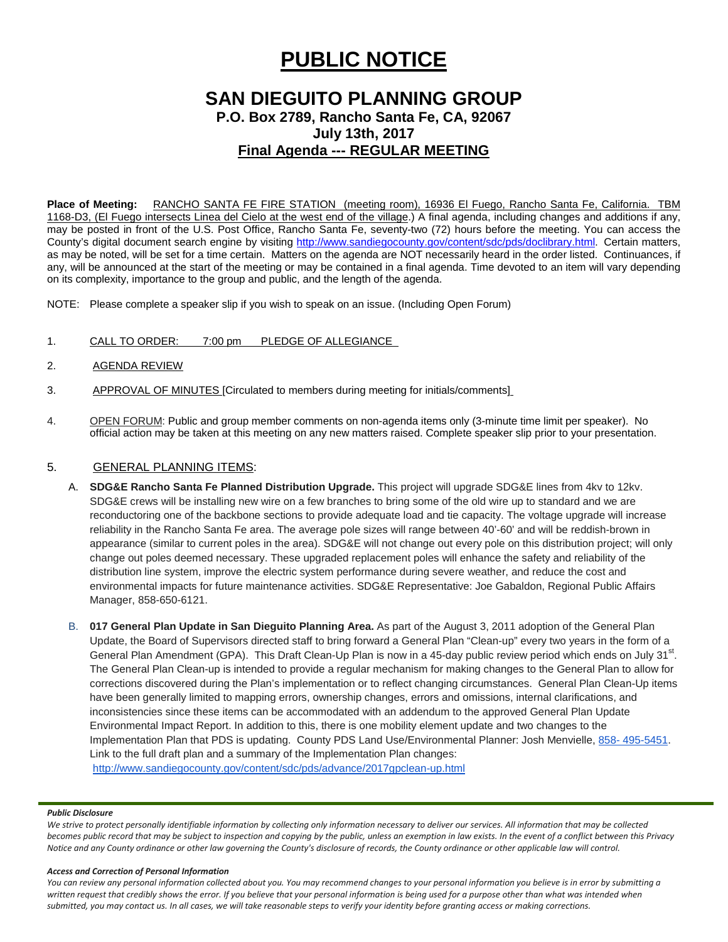# **PUBLIC NOTICE**

# **SAN DIEGUITO PLANNING GROUP**

**P.O. Box 2789, Rancho Santa Fe, CA, 92067 July 13th, 2017**

# **Final Agenda --- REGULAR MEETING**

**Place of Meeting:** RANCHO SANTA FE FIRE STATION (meeting room), 16936 El Fuego, Rancho Santa Fe, California. TBM 1168-D3, (El Fuego intersects Linea del Cielo at the west end of the village.) A final agenda, including changes and additions if any, may be posted in front of the U.S. Post Office, Rancho Santa Fe, seventy-two (72) hours before the meeting. You can access the County's digital document search engine by visiting<http://www.sandiegocounty.gov/content/sdc/pds/doclibrary.html>. Certain matters, as may be noted, will be set for a time certain. Matters on the agenda are NOT necessarily heard in the order listed. Continuances, if any, will be announced at the start of the meeting or may be contained in a final agenda. Time devoted to an item will vary depending on its complexity, importance to the group and public, and the length of the agenda.

NOTE: Please complete a speaker slip if you wish to speak on an issue. (Including Open Forum)

- 1. CALL TO ORDER: 7:00 pm PLEDGE OF ALLEGIANCE
- 2. AGENDA REVIEW
- 3. APPROVAL OF MINUTES [Circulated to members during meeting for initials/comments]
- 4. OPEN FORUM: Public and group member comments on non-agenda items only (3-minute time limit per speaker). No official action may be taken at this meeting on any new matters raised. Complete speaker slip prior to your presentation.

# 5. GENERAL PLANNING ITEMS:

- A. **SDG&E Rancho Santa Fe Planned Distribution Upgrade.** This project will upgrade SDG&E lines from 4kv to 12kv. SDG&E crews will be installing new wire on a few branches to bring some of the old wire up to standard and we are reconductoring one of the backbone sections to provide adequate load and tie capacity. The voltage upgrade will increase reliability in the Rancho Santa Fe area. The average pole sizes will range between 40'-60' and will be reddish-brown in appearance (similar to current poles in the area). SDG&E will not change out every pole on this distribution project; will only change out poles deemed necessary. These upgraded replacement poles will enhance the safety and reliability of the distribution line system, improve the electric system performance during severe weather, and reduce the cost and environmental impacts for future maintenance activities. SDG&E Representative: Joe Gabaldon, Regional Public Affairs Manager, [858-650-6121.](tel:(858)%20650-6121)
- B. **017 General Plan Update in San Dieguito Planning Area.** As part of the August 3, 2011 adoption of the General Plan Update, the Board of Supervisors directed staff to bring forward a General Plan "Clean-up" every two years in the form of a General Plan Amendment (GPA). This Draft Clean-Up Plan is now in a 45-day public review period which ends on July 31 $^{st}$ . The General Plan Clean-up is intended to provide a regular mechanism for making changes to the General Plan to allow for corrections discovered during the Plan's implementation or to reflect changing circumstances. General Plan Clean-Up items have been generally limited to mapping errors, ownership changes, errors and omissions, internal clarifications, and inconsistencies since these items can be accommodated with an addendum to the approved General Plan Update Environmental Impact Report. In addition to this, there is one mobility element update and two changes to the Implementation Plan that PDS is updating. County PDS Land Use/Environmental Planner: Josh Menvielle, 858- [495-5451.](tel:(858)%20495-5451) Link to the full draft plan and a summary of the Implementation Plan changes: <http://www.sandiegocounty.gov/content/sdc/pds/advance/2017gpclean-up.html>

### *Public Disclosure*

*We strive to protect personally identifiable information by collecting only information necessary to deliver our services. All information that may be collected becomes public record that may be subject to inspection and copying by the public, unless an exemption in law exists. In the event of a conflict between this Privacy Notice and any County ordinance or other law governing the County's disclosure of records, the County ordinance or other applicable law will control.*

### *Access and Correction of Personal Information*

*You can review any personal information collected about you. You may recommend changes to your personal information you believe is in error by submitting a*  written request that credibly shows the error. If you believe that your personal information is being used for a purpose other than what was intended when *submitted, you may contact us. In all cases, we will take reasonable steps to verify your identity before granting access or making corrections.*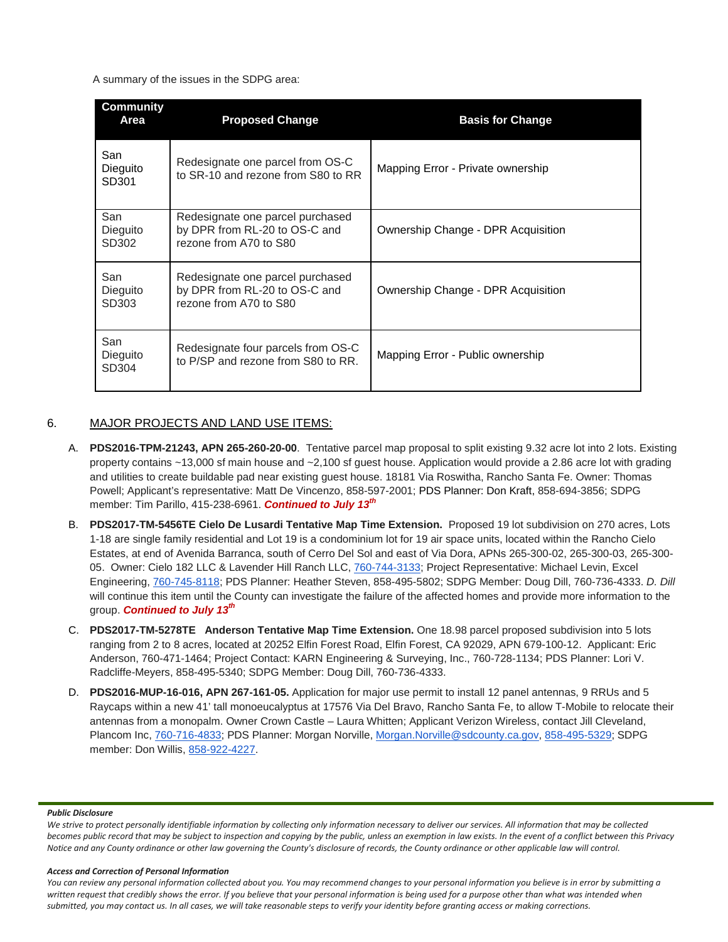A summary of the issues in the SDPG area:

| Community<br>Area        | <b>Proposed Change</b>                                                                      | <b>Basis for Change</b>            |  |  |
|--------------------------|---------------------------------------------------------------------------------------------|------------------------------------|--|--|
| San<br>Dieguito<br>SD301 | Redesignate one parcel from OS-C<br>to SR-10 and rezone from S80 to RR                      | Mapping Error - Private ownership  |  |  |
| San<br>Dieguito<br>SD302 | Redesignate one parcel purchased<br>by DPR from RL-20 to OS-C and<br>rezone from A70 to S80 | Ownership Change - DPR Acquisition |  |  |
| San<br>Dieguito<br>SD303 | Redesignate one parcel purchased<br>by DPR from RL-20 to OS-C and<br>rezone from A70 to S80 | Ownership Change - DPR Acquisition |  |  |
| San<br>Dieguito<br>SD304 | Redesignate four parcels from OS-C<br>to P/SP and rezone from S80 to RR.                    | Mapping Error - Public ownership   |  |  |

## 6. MAJOR PROJECTS AND LAND USE ITEMS:

- A. **PDS2016-TPM-21243, APN 265-260-20-00**. Tentative parcel map proposal to split existing 9.32 acre lot into 2 lots. Existing property contains ~13,000 sf main house and ~2,100 sf guest house. Application would provide a 2.86 acre lot with grading and utilities to create buildable pad near existing guest house. 18181 Via Roswitha, Rancho Santa Fe. Owner: Thomas Powell; Applicant's representative: Matt De Vincenzo, 858-597-2001; PDS Planner: Don Kraft, 858-694-3856; SDPG member: Tim Parillo, [415-238-6961.](tel:415-238-6961) *Continued to July 13th*
- B. **PDS2017-TM-5456TE Cielo De Lusardi Tentative Map Time Extension.** Proposed 19 lot subdivision on 270 acres, Lots 1-18 are single family residential and Lot 19 is a condominium lot for 19 air space units, located within the Rancho Cielo Estates, at end of Avenida Barranca, south of Cerro Del Sol and east of Via Dora, APNs 265-300-02, 265-300-03, 265-300- 05. Owner: Cielo 182 LLC & Lavender Hill Ranch LLC, [760-744-3133;](tel:(760)%20744-3133) Project Representative: Michael Levin, Excel Engineering, [760-745-8118;](tel:(760)%20745-8118) PDS Planner: Heather Steven, [858-495-5802;](tel:(858)%20495-5802) SDPG Member: Doug Dill, [760-736-4333.](tel:(760)%20736-4333) *D. Dill* will continue this item until the County can investigate the failure of the affected homes and provide more information to the group. *Continued to July 13th*
- C. **PDS2017-TM-5278TE Anderson Tentative Map Time Extension.** One 18.98 parcel proposed subdivision into 5 lots ranging from 2 to 8 acres, located at 20252 Elfin Forest Road, Elfin Forest, CA 92029, APN 679-100-12. Applicant: Eric Anderson, 760-471-1464; Project Contact: KARN Engineering & Surveying, Inc., 760-728-1134; PDS Planner: Lori V. Radcliffe-Meyers, 858-495-5340; SDPG Member: Doug Dill, 760-736-4333.
- D. **PDS2016-MUP-16-016, APN 267-161-05.** Application for major use permit to install 12 panel antennas, 9 RRUs and 5 Raycaps within a new 41' tall monoeucalyptus at 17576 Via Del Bravo, Rancho Santa Fe, to allow T-Mobile to relocate their antennas from a monopalm. Owner Crown Castle – Laura Whitten; Applicant Verizon Wireless, contact Jill Cleveland, Plancom Inc, [760-716-4833;](tel:(760)%20716-4833) PDS Planner: Morgan Norville, [Morgan.Norville@sdcounty.ca.gov,](mailto:Morgan.Norville@sdcounty.ca.gov) [858-495-5329;](tel:(858)%20495-5329) SDPG member: Don Willis, [858-922-4227.](tel:(858)%20922-4227)

#### *Public Disclosure*

*We strive to protect personally identifiable information by collecting only information necessary to deliver our services. All information that may be collected becomes public record that may be subject to inspection and copying by the public, unless an exemption in law exists. In the event of a conflict between this Privacy Notice and any County ordinance or other law governing the County's disclosure of records, the County ordinance or other applicable law will control.*

### *Access and Correction of Personal Information*

*You can review any personal information collected about you. You may recommend changes to your personal information you believe is in error by submitting a*  written request that credibly shows the error. If you believe that your personal information is being used for a purpose other than what was intended when *submitted, you may contact us. In all cases, we will take reasonable steps to verify your identity before granting access or making corrections.*